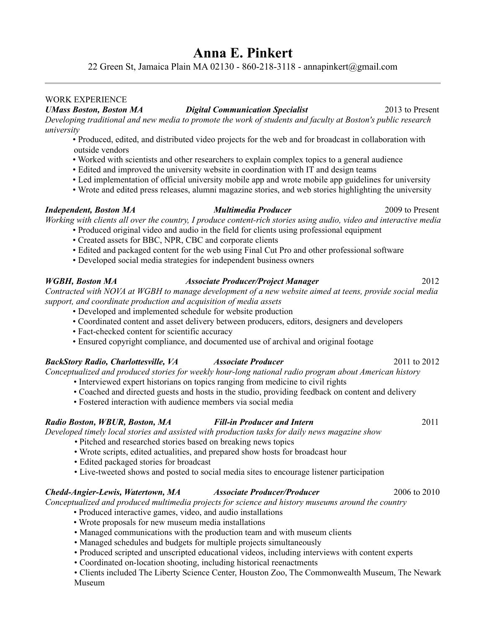# **Anna E. Pinkert**

22 Green St, Jamaica Plain MA 02130 - 860-218-3118 - annapinkert@gmail.com

# WORK EXPERIENCE

*UMass Boston, Boston MA Digital Communication Specialist* 2013 to Present *Developing traditional and new media to promote the work of students and faculty at Boston's public research university*

- Produced, edited, and distributed video projects for the web and for broadcast in collaboration with outside vendors
- Worked with scientists and other researchers to explain complex topics to a general audience
- Edited and improved the university website in coordination with IT and design teams
- Led implementation of official university mobile app and wrote mobile app guidelines for university
- Wrote and edited press releases, alumni magazine stories, and web stories highlighting the university

### *Independent, Boston MA Multimedia Producer* 2009 to Present *Working with clients all over the country, I produce content-rich stories using audio, video and interactive media*

• Produced original video and audio in the field for clients using professional equipment

- Created assets for BBC, NPR, CBC and corporate clients
- Edited and packaged content for the web using Final Cut Pro and other professional software
- Developed social media strategies for independent business owners

# *WGBH, Boston MA Associate Producer/Project Manager* 2012

*Contracted with NOVA at WGBH to manage development of a new website aimed at teens, provide social media support, and coordinate production and acquisition of media assets*

- Developed and implemented schedule for website production
- Coordinated content and asset delivery between producers, editors, designers and developers
- Fact-checked content for scientific accuracy
- Ensured copyright compliance, and documented use of archival and original footage

# *BackStory Radio, Charlottesville, VA Associate Producer* 2011 to 2012

*Conceptualized and produced stories for weekly hour-long national radio program about American history*

- 
- Coached and directed guests and hosts in the studio, providing feedback on content and delivery
- Fostered interaction with audience members via social media

# *Radio Boston, WBUR, Boston, MA Fill-in Producer and Intern* 2011

*Developed timely local stories and assisted with production tasks for daily news magazine show*

- Pitched and researched stories based on breaking news topics
- Wrote scripts, edited actualities, and prepared show hosts for broadcast hour
- Edited packaged stories for broadcast
- Live-tweeted shows and posted to social media sites to encourage listener participation

# *Chedd-Angier-Lewis, Watertown, MA Associate Producer/Producer* 2006 to 2010

*Conceptualized and produced multimedia projects for science and history museums around the country*

- Produced interactive games, video, and audio installations
- Wrote proposals for new museum media installations
- Managed communications with the production team and with museum clients
- Managed schedules and budgets for multiple projects simultaneously
- Produced scripted and unscripted educational videos, including interviews with content experts
- Coordinated on-location shooting, including historical reenactments
- Clients included The Liberty Science Center, Houston Zoo, The Commonwealth Museum, The Newark Museum

- 
- 
- 
- 

- Interviewed expert historians on topics ranging from medicine to civil rights
- 
-